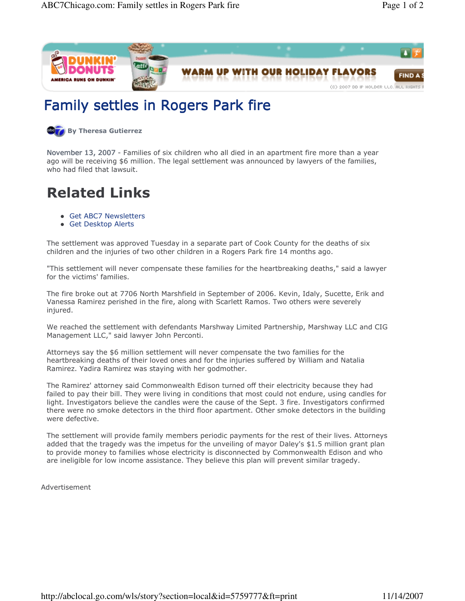

## Family settles in Rogers Park fire

**By Theresa Gutierrez** 

November 13, 2007 - Families of six children who all died in an apartment fire more than a year ago will be receiving \$6 million. The legal settlement was announced by lawyers of the families, who had filed that lawsuit.

# Related Links

- Get ABC7 Newsletters
- Get Desktop Alerts

The settlement was approved Tuesday in a separate part of Cook County for the deaths of six children and the injuries of two other children in a Rogers Park fire 14 months ago.

"This settlement will never compensate these families for the heartbreaking deaths," said a lawyer for the victims' families.

The fire broke out at 7706 North Marshfield in September of 2006. Kevin, Idaly, Sucette, Erik and Vanessa Ramirez perished in the fire, along with Scarlett Ramos. Two others were severely injured.

We reached the settlement with defendants Marshway Limited Partnership, Marshway LLC and CIG Management LLC," said lawyer John Perconti.

Attorneys say the \$6 million settlement will never compensate the two families for the heartbreaking deaths of their loved ones and for the injuries suffered by William and Natalia Ramirez. Yadira Ramirez was staying with her godmother.

The Ramirez' attorney said Commonwealth Edison turned off their electricity because they had failed to pay their bill. They were living in conditions that most could not endure, using candles for light. Investigators believe the candles were the cause of the Sept. 3 fire. Investigators confirmed there were no smoke detectors in the third floor apartment. Other smoke detectors in the building were defective.

The settlement will provide family members periodic payments for the rest of their lives. Attorneys added that the tragedy was the impetus for the unveiling of mayor Daley's \$1.5 million grant plan to provide money to families whose electricity is disconnected by Commonwealth Edison and who are ineligible for low income assistance. They believe this plan will prevent similar tragedy.

Advertisement